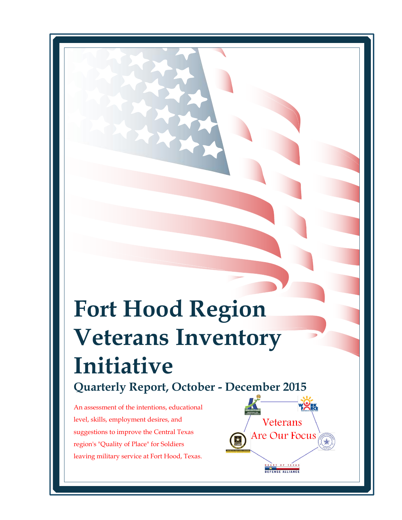# **Fort Hood Region Veterans Inventory Initiative Quarterly Report, October - December 2015**

Veterans

Are Our Focus

OF TEXA DEFENSE ALLIANCE

An assessment of the intentions, educational level, skills, employment desires, and suggestions to improve the Central Texas region's "Quality of Place" for Soldiers leaving military service at Fort Hood, Texas.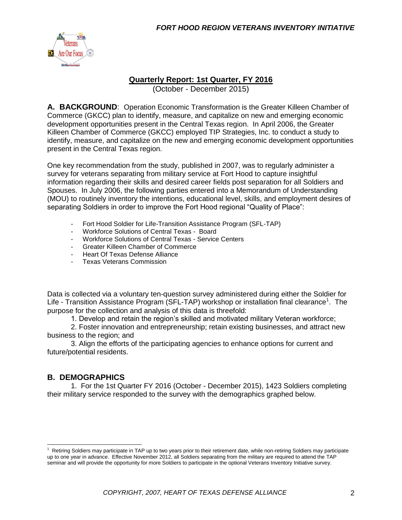

# **Quarterly Report: 1st Quarter, FY 2016**

(October - December 2015)

**A. BACKGROUND**: Operation Economic Transformation is the Greater Killeen Chamber of Commerce (GKCC) plan to identify, measure, and capitalize on new and emerging economic development opportunities present in the Central Texas region. In April 2006, the Greater Killeen Chamber of Commerce (GKCC) employed TIP Strategies, Inc. to conduct a study to identify, measure, and capitalize on the new and emerging economic development opportunities present in the Central Texas region.

One key recommendation from the study, published in 2007, was to regularly administer a survey for veterans separating from military service at Fort Hood to capture insightful information regarding their skills and desired career fields post separation for all Soldiers and Spouses. In July 2006, the following parties entered into a Memorandum of Understanding (MOU) to routinely inventory the intentions, educational level, skills, and employment desires of separating Soldiers in order to improve the Fort Hood regional "Quality of Place":

- Fort Hood Soldier for Life-Transition Assistance Program (SFL-TAP)
- Workforce Solutions of Central Texas Board
- Workforce Solutions of Central Texas Service Centers
- Greater Killeen Chamber of Commerce
- Heart Of Texas Defense Alliance
- Texas Veterans Commission

Data is collected via a voluntary ten-question survey administered during either the Soldier for Life - Transition Assistance Program (SFL-TAP) workshop or installation final clearance<sup>1</sup>. The purpose for the collection and analysis of this data is threefold:

1. Develop and retain the region's skilled and motivated military Veteran workforce;

2. Foster innovation and entrepreneurship; retain existing businesses, and attract new business to the region; and

3. Align the efforts of the participating agencies to enhance options for current and future/potential residents.

# **B. DEMOGRAPHICS**

1. For the 1st Quarter FY 2016 (October - December 2015), 1423 Soldiers completing their military service responded to the survey with the demographics graphed below.

 $1$  Retiring Soldiers may participate in TAP up to two years prior to their retirement date, while non-retiring Soldiers may participate up to one year in advance. Effective November 2012, all Soldiers separating from the military are required to attend the TAP seminar and will provide the opportunity for more Soldiers to participate in the optional Veterans Inventory Initiative survey.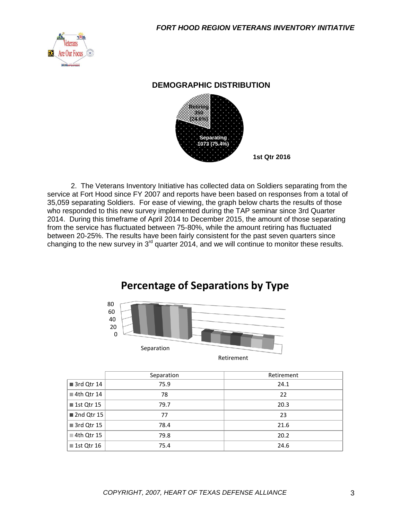

#### **DEMOGRAPHIC DISTRIBUTION**



2. The Veterans Inventory Initiative has collected data on Soldiers separating from the service at Fort Hood since FY 2007 and reports have been based on responses from a total of 35,059 separating Soldiers. For ease of viewing, the graph below charts the results of those who responded to this new survey implemented during the TAP seminar since 3rd Quarter 2014. During this timeframe of April 2014 to December 2015, the amount of those separating from the service has fluctuated between 75-80%, while the amount retiring has fluctuated between 20-25%. The results have been fairly consistent for the past seven quarters since changing to the new survey in  $3<sup>rd</sup>$  quarter 2014, and we will continue to monitor these results.

# **Percentage of Separations by Type**



Retirement

|                           | Separation | Retirement |
|---------------------------|------------|------------|
| 3rd Qtr 14                | 75.9       | 24.1       |
| 4th Qtr 14                | 78         | 22         |
| ■ 1st Qtr 15              | 79.7       | 20.3       |
| 2nd Qtr 15                | 77         | 23         |
| 3rd Qtr 15                | 78.4       | 21.6       |
| $\blacksquare$ 4th Qtr 15 | 79.8       | 20.2       |
| ■ 1st Qtr 16              | 75.4       | 24.6       |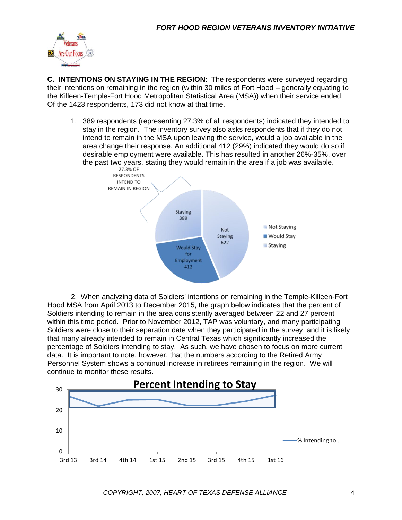

**C. INTENTIONS ON STAYING IN THE REGION**: The respondents were surveyed regarding their intentions on remaining in the region (within 30 miles of Fort Hood – generally equating to the Killeen-Temple-Fort Hood Metropolitan Statistical Area (MSA)) when their service ended. Of the 1423 respondents, 173 did not know at that time.

1. 389 respondents (representing 27.3% of all respondents) indicated they intended to stay in the region. The inventory survey also asks respondents that if they do not intend to remain in the MSA upon leaving the service, would a job available in the area change their response. An additional 412 (29%) indicated they would do so if desirable employment were available. This has resulted in another 26%-35%, over the past two years, stating they would remain in the area if a job was available.<br> $27.3\%$  OF



2. When analyzing data of Soldiers' intentions on remaining in the Temple-Killeen-Fort Hood MSA from April 2013 to December 2015, the graph below indicates that the percent of Soldiers intending to remain in the area consistently averaged between 22 and 27 percent within this time period. Prior to November 2012, TAP was voluntary, and many participating Soldiers were close to their separation date when they participated in the survey, and it is likely that many already intended to remain in Central Texas which significantly increased the percentage of Soldiers intending to stay. As such, we have chosen to focus on more current data. It is important to note, however, that the numbers according to the Retired Army Personnel System shows a continual increase in retirees remaining in the region. We will continue to monitor these results.

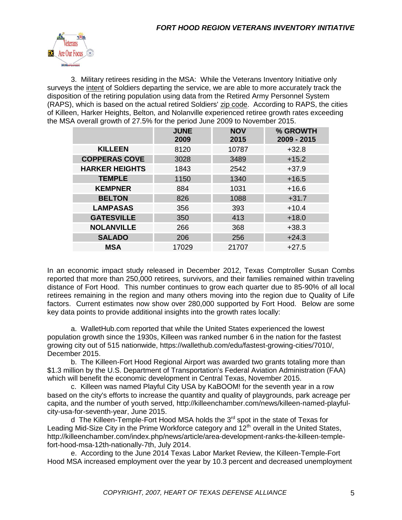

3. Military retirees residing in the MSA: While the Veterans Inventory Initiative only surveys the intent of Soldiers departing the service, we are able to more accurately track the disposition of the retiring population using data from the Retired Army Personnel System (RAPS), which is based on the actual retired Soldiers' zip code. According to RAPS, the cities of Killeen, Harker Heights, Belton, and Nolanville experienced retiree growth rates exceeding the MSA overall growth of 27.5% for the period June 2009 to November 2015.

|                       | <b>JUNE</b><br>2009 | <b>NOV</b><br>2015 | % GROWTH<br>2009 - 2015 |
|-----------------------|---------------------|--------------------|-------------------------|
| <b>KILLEEN</b>        | 8120                | 10787              | $+32.8$                 |
| <b>COPPERAS COVE</b>  | 3028                | 3489               | $+15.2$                 |
| <b>HARKER HEIGHTS</b> | 1843                | 2542               | $+37.9$                 |
| <b>TEMPLE</b>         | 1150                | 1340               | $+16.5$                 |
| <b>KEMPNER</b>        | 884                 | 1031               | $+16.6$                 |
| <b>BELTON</b>         | 826                 | 1088               | $+31.7$                 |
| <b>LAMPASAS</b>       | 356                 | 393                | $+10.4$                 |
| <b>GATESVILLE</b>     | 350                 | 413                | $+18.0$                 |
| <b>NOLANVILLE</b>     | 266                 | 368                | $+38.3$                 |
| <b>SALADO</b>         | 206                 | 256                | $+24.3$                 |
| <b>MSA</b>            | 17029               | 21707              | $+27.5$                 |

In an economic impact study released in December 2012, Texas Comptroller Susan Combs reported that more than 250,000 retirees, survivors, and their families remained within traveling distance of Fort Hood. This number continues to grow each quarter due to 85-90% of all local retirees remaining in the region and many others moving into the region due to Quality of Life factors. Current estimates now show over 280,000 supported by Fort Hood. Below are some key data points to provide additional insights into the growth rates locally:

a. WalletHub.com reported that while the United States experienced the lowest population growth since the 1930s, Killeen was ranked number 6 in the nation for the fastest growing city out of 515 nationwide, https://wallethub.com/edu/fastest-growing-cities/7010/, December 2015.

b. The Killeen-Fort Hood Regional Airport was awarded two grants totaling more than \$1.3 million by the U.S. Department of Transportation's Federal Aviation Administration (FAA) which will benefit the economic development in Central Texas, November 2015.

c. Killeen was named Playful City USA by KaBOOM! for the seventh year in a row based on the city's efforts to increase the quantity and quality of playgrounds, park acreage per capita, and the number of youth served, http://killeenchamber.com/news/killeen-named-playfulcity-usa-for-seventh-year, June 2015.

d The Killeen-Temple-Fort Hood MSA holds the 3<sup>rd</sup> spot in the state of Texas for Leading Mid-Size City in the Prime Workforce category and  $12<sup>th</sup>$  overall in the United States, http://killeenchamber.com/index.php/news/article/area-development-ranks-the-killeen-templefort-hood-msa-12th-nationally-7th, July 2014.

e. According to the June 2014 Texas Labor Market Review, the Killeen-Temple-Fort Hood MSA increased employment over the year by 10.3 percent and decreased unemployment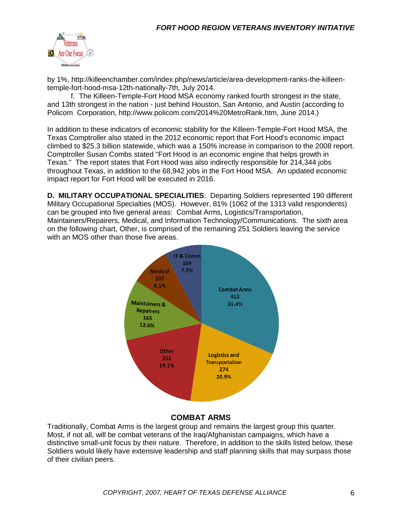

by 1%, http://killeenchamber.com/index.php/news/article/area-development-ranks-the-killeentemple-fort-hood-msa-12th-nationally-7th, July 2014.

f. The Killeen-Temple-Fort Hood MSA economy ranked fourth strongest in the state, and 13th strongest in the nation - just behind Houston, San Antonio, and Austin (according to Policom Corporation, http://www.policom.com/2014%20MetroRank.htm, June 2014.)

In addition to these indicators of economic stability for the Killeen-Temple-Fort Hood MSA, the Texas Comptroller also stated in the 2012 economic report that Fort Hood's economic impact climbed to \$25.3 billion statewide, which was a 150% increase in comparison to the 2008 report. Comptroller Susan Combs stated "Fort Hood is an economic engine that helps growth in Texas." The report states that Fort Hood was also indirectly responsible for 214,344 jobs throughout Texas, in addition to the 68,942 jobs in the Fort Hood MSA. An updated economic impact report for Fort Hood will be executed in 2016.

**D. MILITARY OCCUPATIONAL SPECIALITIES**: Departing Soldiers represented 190 different Military Occupational Specialties (MOS). However, 81% (1062 of the 1313 valid respondents) can be grouped into five general areas: Combat Arms, Logistics/Transportation, Maintainers/Repairers, Medical, and Information Technology/Communications. The sixth area on the following chart, Other, is comprised of the remaining 251 Soldiers leaving the service with an MOS other than those five areas.



### **COMBAT ARMS**

Traditionally, Combat Arms is the largest group and remains the largest group this quarter. Most, if not all, will be combat veterans of the Iraq/Afghanistan campaigns, which have a distinctive small-unit focus by their nature. Therefore, in addition to the skills listed below, these Soldiers would likely have extensive leadership and staff planning skills that may surpass those of their civilian peers.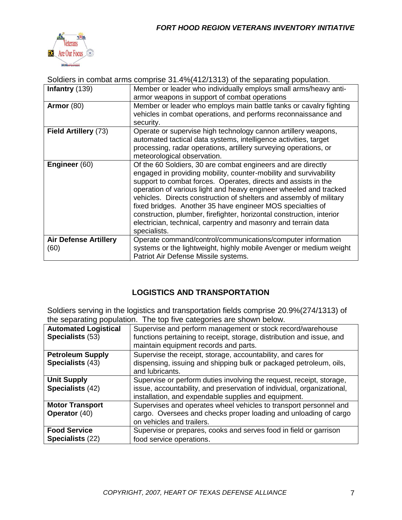

Soldiers in combat arms comprise 31.4%(412/1313) of the separating population. **Infantry** (139) **Member or leader who individually employs small arms/heavy anti**armor weapons in support of combat operations **Armor** (80) Member or leader who employs main battle tanks or cavalry fighting vehicles in combat operations, and performs reconnaissance and security. **Field Artillery** (73) Cperate or supervise high technology cannon artillery weapons, automated tactical data systems, intelligence activities, target processing, radar operations, artillery surveying operations, or meteorological observation. **Engineer** (60) **Of the 60 Soldiers, 30 are combat engineers and are directly** engaged in providing mobility, counter-mobility and survivability support to combat forces. Operates, directs and assists in the operation of various light and heavy engineer wheeled and tracked vehicles. Directs construction of shelters and assembly of military fixed bridges. Another 35 have engineer MOS specialties of construction, plumber, firefighter, horizontal construction, interior electrician, technical, carpentry and masonry and terrain data specialists. **Air Defense Artillery** (60) Operate command/control/communications/computer information systems or the lightweight, highly mobile Avenger or medium weight Patriot Air Defense Missile systems.

# **LOGISTICS AND TRANSPORTATION**

Soldiers serving in the logistics and transportation fields comprise 20.9%(274/1313) of the separating population. The top five categories are shown below.

| are coparating population. The top five categories are chown below. |                                                                                                                                                                                                        |  |
|---------------------------------------------------------------------|--------------------------------------------------------------------------------------------------------------------------------------------------------------------------------------------------------|--|
| <b>Automated Logistical</b><br>Specialists (53)                     | Supervise and perform management or stock record/warehouse<br>functions pertaining to receipt, storage, distribution and issue, and<br>maintain equipment records and parts.                           |  |
| <b>Petroleum Supply</b><br>Specialists (43)                         | Supervise the receipt, storage, accountability, and cares for<br>dispensing, issuing and shipping bulk or packaged petroleum, oils,<br>and lubricants.                                                 |  |
| <b>Unit Supply</b><br>Specialists (42)                              | Supervise or perform duties involving the request, receipt, storage,<br>issue, accountability, and preservation of individual, organizational,<br>installation, and expendable supplies and equipment. |  |
| <b>Motor Transport</b><br>Operator (40)                             | Supervises and operates wheel vehicles to transport personnel and<br>cargo. Oversees and checks proper loading and unloading of cargo<br>on vehicles and trailers.                                     |  |
| <b>Food Service</b><br>Specialists (22)                             | Supervise or prepares, cooks and serves food in field or garrison<br>food service operations.                                                                                                          |  |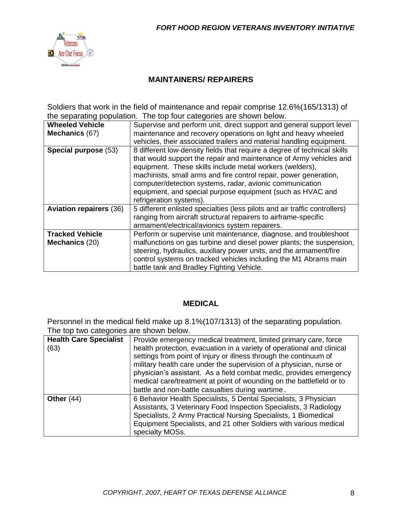

# **MAINTAINERS/ REPAIRERS**

Soldiers that work in the field of maintenance and repair comprise 12.6%(165/1313) of the separating population. The top four categories are shown below.

| <b>Wheeled Vehicle</b>         | Supervise and perform unit, direct support and general support level       |
|--------------------------------|----------------------------------------------------------------------------|
| Mechanics (67)                 | maintenance and recovery operations on light and heavy wheeled             |
|                                | vehicles, their associated trailers and material handling equipment.       |
| Special purpose (53)           | 8 different low-density fields that require a degree of technical skills   |
|                                | that would support the repair and maintenance of Army vehicles and         |
|                                | equipment. These skills include metal workers (welders),                   |
|                                | machinists, small arms and fire control repair, power generation,          |
|                                | computer/detection systems, radar, avionic communication                   |
|                                | equipment, and special purpose equipment (such as HVAC and                 |
|                                | refrigeration systems).                                                    |
| <b>Aviation repairers (36)</b> | 5 different enlisted specialties (less pilots and air traffic controllers) |
|                                | ranging from aircraft structural repairers to airframe-specific            |
|                                | armament/electrical/avionics system repairers.                             |
| <b>Tracked Vehicle</b>         | Perform or supervise unit maintenance, diagnose, and troubleshoot          |
| Mechanics (20)                 | malfunctions on gas turbine and diesel power plants; the suspension,       |
|                                | steering, hydraulics, auxiliary power units, and the armament/fire         |
|                                | control systems on tracked vehicles including the M1 Abrams main           |
|                                | battle tank and Bradley Fighting Vehicle.                                  |
|                                |                                                                            |

### **MEDICAL**

Personnel in the medical field make up 8.1%(107/1313) of the separating population. The top two categories are shown below

| <b>Health Care Specialist</b> | Provide emergency medical treatment, limited primary care, force                                                                                                                                                                                                                                                                                                                                                     |  |
|-------------------------------|----------------------------------------------------------------------------------------------------------------------------------------------------------------------------------------------------------------------------------------------------------------------------------------------------------------------------------------------------------------------------------------------------------------------|--|
| (63)                          | health protection, evacuation in a variety of operational and clinical<br>settings from point of injury or illness through the continuum of<br>military health care under the supervision of a physician, nurse or<br>physician's assistant. As a field combat medic, provides emergency<br>medical care/treatment at point of wounding on the battlefield or to<br>battle and non-battle casualties during wartime. |  |
| Other $(44)$                  | 6 Behavior Health Specialists, 5 Dental Specialists, 3 Physician<br>Assistants, 3 Veterinary Food Inspection Specialists, 3 Radiology<br>Specialists, 2 Army Practical Nursing Specialists, 1 Biomedical<br>Equipment Specialists, and 21 other Soldiers with various medical<br>specialty MOSs.                                                                                                                     |  |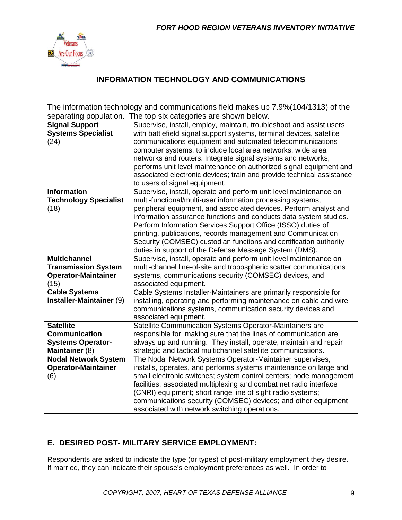

# **INFORMATION TECHNOLOGY AND COMMUNICATIONS**

The information technology and communications field makes up 7.9%(104/1313) of the separating population. The top six categories are shown below.

| <b>Signal Support</b>        | Supervise, install, employ, maintain, troubleshoot and assist users   |
|------------------------------|-----------------------------------------------------------------------|
| <b>Systems Specialist</b>    | with battlefield signal support systems, terminal devices, satellite  |
| (24)                         | communications equipment and automated telecommunications             |
|                              | computer systems, to include local area networks, wide area           |
|                              | networks and routers. Integrate signal systems and networks;          |
|                              | performs unit level maintenance on authorized signal equipment and    |
|                              | associated electronic devices; train and provide technical assistance |
|                              | to users of signal equipment.                                         |
| <b>Information</b>           | Supervise, install, operate and perform unit level maintenance on     |
| <b>Technology Specialist</b> | multi-functional/multi-user information processing systems,           |
| (18)                         | peripheral equipment, and associated devices. Perform analyst and     |
|                              | information assurance functions and conducts data system studies.     |
|                              | Perform Information Services Support Office (ISSO) duties of          |
|                              | printing, publications, records management and Communication          |
|                              | Security (COMSEC) custodian functions and certification authority     |
|                              | duties in support of the Defense Message System (DMS).                |
| <b>Multichannel</b>          | Supervise, install, operate and perform unit level maintenance on     |
| <b>Transmission System</b>   | multi-channel line-of-site and tropospheric scatter communications    |
| <b>Operator-Maintainer</b>   | systems, communications security (COMSEC) devices, and                |
| (15)                         | associated equipment.                                                 |
| <b>Cable Systems</b>         | Cable Systems Installer-Maintainers are primarily responsible for     |
| Installer-Maintainer (9)     | installing, operating and performing maintenance on cable and wire    |
|                              | communications systems, communication security devices and            |
|                              | associated equipment.                                                 |
| <b>Satellite</b>             | Satellite Communication Systems Operator-Maintainers are              |
| <b>Communication</b>         | responsible for making sure that the lines of communication are       |
| <b>Systems Operator-</b>     | always up and running. They install, operate, maintain and repair     |
| Maintainer (8)               | strategic and tactical multichannel satellite communications.         |
| <b>Nodal Network System</b>  | The Nodal Network Systems Operator-Maintainer supervises,             |
| <b>Operator-Maintainer</b>   | installs, operates, and performs systems maintenance on large and     |
| (6)                          | small electronic switches; system control centers; node management    |
|                              | facilities; associated multiplexing and combat net radio interface    |
|                              | (CNRI) equipment; short range line of sight radio systems;            |
|                              | communications security (COMSEC) devices; and other equipment         |
|                              | associated with network switching operations.                         |

# **E. DESIRED POST- MILITARY SERVICE EMPLOYMENT:**

Respondents are asked to indicate the type (or types) of post-military employment they desire. If married, they can indicate their spouse's employment preferences as well. In order to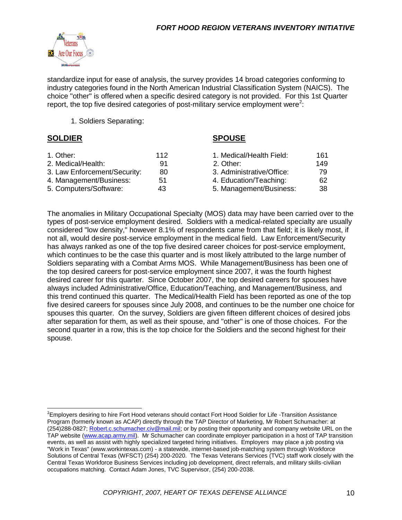

standardize input for ease of analysis, the survey provides 14 broad categories conforming to industry categories found in the North American Industrial Classification System (NAICS). The choice "other" is offered when a specific desired category is not provided. For this 1st Quarter report, the top five desired categories of post-military service employment were<sup>2</sup>:

1. Soldiers Separating:

#### **SOLDIER SPOUSE**

| 1. Other:                    | 112 | 1. Medical/Health Field:  | 161 |
|------------------------------|-----|---------------------------|-----|
| 2. Medical/Health:           | 91  | 2. Other:                 | 149 |
| 3. Law Enforcement/Security: | 80  | 3. Administrative/Office: | 79  |
| 4. Management/Business:      | 51  | 4. Education/Teaching:    | 62  |
| 5. Computers/Software:       | 43  | 5. Management/Business:   | 38  |

The anomalies in Military Occupational Specialty (MOS) data may have been carried over to the types of post-service employment desired. Soldiers with a medical-related specialty are usually considered "low density," however 8.1% of respondents came from that field; it is likely most, if not all, would desire post-service employment in the medical field. Law Enforcement/Security has always ranked as one of the top five desired career choices for post-service employment, which continues to be the case this quarter and is most likely attributed to the large number of Soldiers separating with a Combat Arms MOS. While Management/Business has been one of the top desired careers for post-service employment since 2007, it was the fourth highest desired career for this quarter. Since October 2007, the top desired careers for spouses have always included Administrative/Office, Education/Teaching, and Management/Business, and this trend continued this quarter. The Medical/Health Field has been reported as one of the top five desired careers for spouses since July 2008, and continues to be the number one choice for spouses this quarter. On the survey, Soldiers are given fifteen different choices of desired jobs after separation for them, as well as their spouse, and "other" is one of those choices. For the second quarter in a row, this is the top choice for the Soldiers and the second highest for their spouse.

<sup>&</sup>lt;sup>2</sup>Employers desiring to hire Fort Hood veterans should contact Fort Hood Soldier for Life -Transition Assistance Program (formerly known as ACAP) directly through the TAP Director of Marketing, Mr Robert Schumacher: at (254)288-0827; [Robert.c.schumacher.civ@mail.mil;](mailto:Robert.c.schumacher.civ@mail.mil) or by posting their opportunity and company website URL on the TAP website [\(www.acap.army.mil\)](http://www.acap.army.mil/). Mr Schumacher can coordinate employer participation in a host of TAP transition events, as well as assist with highly specialized targeted hiring initiatives. Employers may place a job posting via "Work in Texas" (www.workintexas.com) - a statewide, internet-based job-matching system through Workforce Solutions of Central Texas (WFSCT) (254) 200-2020. The Texas Veterans Services (TVC) staff work closely with the Central Texas Workforce Business Services including job development, direct referrals, and military skills-civilian occupations matching. Contact Adam Jones, TVC Supervisor, (254) 200-2038.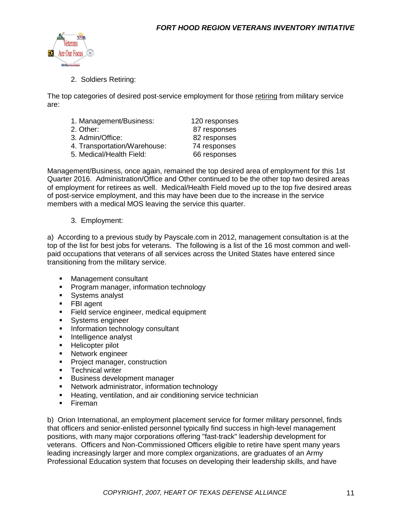

2. Soldiers Retiring:

The top categories of desired post-service employment for those retiring from military service are:

- 1. Management/Business: 120 responses
- 2. Other: 87 responses 3. Admin/Office: 82 responses 4. Transportation/Warehouse: 74 responses 5. Medical/Health Field: 66 responses

Management/Business, once again, remained the top desired area of employment for this 1st Quarter 2016. Administration/Office and Other continued to be the other top two desired areas of employment for retirees as well. Medical/Health Field moved up to the top five desired areas of post-service employment, and this may have been due to the increase in the service members with a medical MOS leaving the service this quarter.

#### 3. Employment:

a) According to a previous study by Payscale.com in 2012, management consultation is at the top of the list for best jobs for veterans. The following is a list of the 16 most common and wellpaid occupations that veterans of all services across the United States have entered since transitioning from the military service.

- **Management consultant**
- **Program manager, information technology**
- **Systems analyst**
- **FBI** agent
- Field service engineer, medical equipment
- **Systems engineer**
- **Information technology consultant**
- **Intelligence analyst**
- **Helicopter pilot**
- **Network engineer**
- **Project manager, construction**
- **F** Technical writer
- **Business development manager**
- **Network administrator, information technology**
- **Heating, ventilation, and air conditioning service technician**
- **Fireman**

b) Orion International, an employment placement service for former military personnel, finds that officers and senior-enlisted personnel typically find success in high-level management positions, with many major corporations offering "fast-track" leadership development for veterans. Officers and Non-Commissioned Officers eligible to retire have spent many years leading increasingly larger and more complex organizations, are graduates of an Army Professional Education system that focuses on developing their leadership skills, and have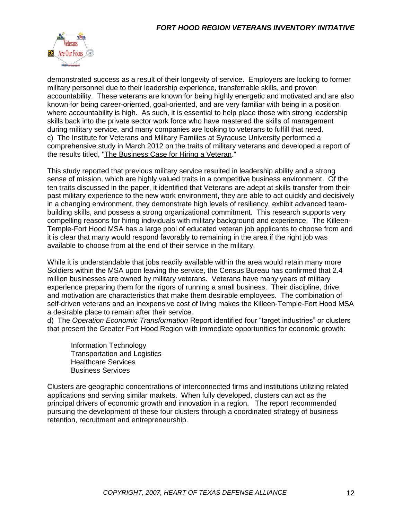

demonstrated success as a result of their longevity of service. Employers are looking to former military personnel due to their leadership experience, transferrable skills, and proven accountability. These veterans are known for being highly energetic and motivated and are also known for being career-oriented, goal-oriented, and are very familiar with being in a position where accountability is high. As such, it is essential to help place those with strong leadership skills back into the private sector work force who have mastered the skills of management during military service, and many companies are looking to veterans to fulfill that need. c) The Institute for Veterans and Military Families at Syracuse University performed a comprehensive study in March 2012 on the traits of military veterans and developed a report of the results titled, ["The Business Case for Hiring a Veteran.](The%20Business%20Case%20for%20Hiring%20a%20Veteran%203-6-12.pdf)"

This study reported that previous military service resulted in leadership ability and a strong sense of mission, which are highly valued traits in a competitive business environment. Of the ten traits discussed in the paper, it identified that Veterans are adept at skills transfer from their past military experience to the new work environment, they are able to act quickly and decisively in a changing environment, they demonstrate high levels of resiliency, exhibit advanced teambuilding skills, and possess a strong organizational commitment. This research supports very compelling reasons for hiring individuals with military background and experience. The Killeen-Temple-Fort Hood MSA has a large pool of educated veteran job applicants to choose from and it is clear that many would respond favorably to remaining in the area if the right job was available to choose from at the end of their service in the military.

While it is understandable that jobs readily available within the area would retain many more Soldiers within the MSA upon leaving the service, the Census Bureau has confirmed that 2.4 million businesses are owned by military veterans. Veterans have many years of military experience preparing them for the rigors of running a small business. Their discipline, drive, and motivation are characteristics that make them desirable employees. The combination of self-driven veterans and an inexpensive cost of living makes the Killeen-Temple-Fort Hood MSA a desirable place to remain after their service.

d) The *Operation Economic Transformation* Report identified four "target industries" or clusters that present the Greater Fort Hood Region with immediate opportunities for economic growth:

Information Technology Transportation and Logistics Healthcare Services Business Services

Clusters are geographic concentrations of interconnected firms and institutions utilizing related applications and serving similar markets. When fully developed, clusters can act as the principal drivers of economic growth and innovation in a region. The report recommended pursuing the development of these four clusters through a coordinated strategy of business retention, recruitment and entrepreneurship.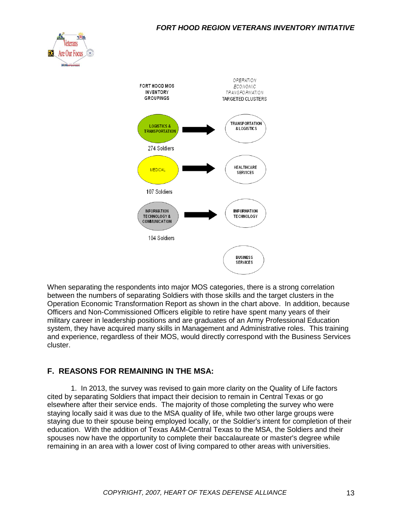#### *FORT HOOD REGION VETERANS INVENTORY INITIATIVE*





When separating the respondents into major MOS categories, there is a strong correlation between the numbers of separating Soldiers with those skills and the target clusters in the Operation Economic Transformation Report as shown in the chart above. In addition, because Officers and Non-Commissioned Officers eligible to retire have spent many years of their military career in leadership positions and are graduates of an Army Professional Education system, they have acquired many skills in Management and Administrative roles. This training and experience, regardless of their MOS, would directly correspond with the Business Services cluster.

### **F. REASONS FOR REMAINING IN THE MSA:**

1. In 2013, the survey was revised to gain more clarity on the Quality of Life factors cited by separating Soldiers that impact their decision to remain in Central Texas or go elsewhere after their service ends. The majority of those completing the survey who were staying locally said it was due to the MSA quality of life, while two other large groups were staying due to their spouse being employed locally, or the Soldier's intent for completion of their education. With the addition of Texas A&M-Central Texas to the MSA, the Soldiers and their spouses now have the opportunity to complete their baccalaureate or master's degree while remaining in an area with a lower cost of living compared to other areas with universities.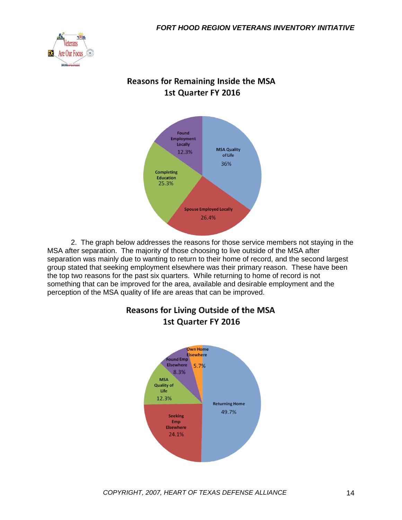

# **Reasons for Remaining Inside the MSA** 1st Quarter FY 2016



2. The graph below addresses the reasons for those service members not staying in the MSA after separation. The majority of those choosing to live outside of the MSA after separation was mainly due to wanting to return to their home of record, and the second largest group stated that seeking employment elsewhere was their primary reason. These have been the top two reasons for the past six quarters. While returning to home of record is not something that can be improved for the area, available and desirable employment and the perception of the MSA quality of life are areas that can be improved.



# **Reasons for Living Outside of the MSA** 1st Quarter FY 2016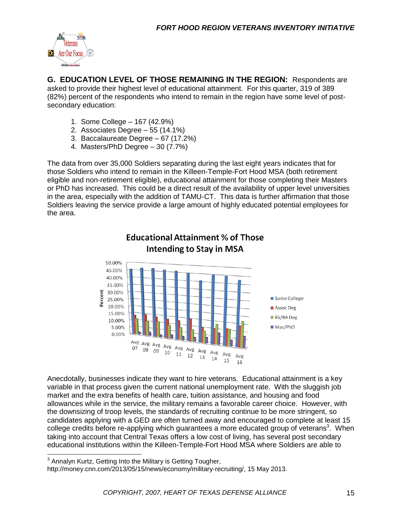

**G. EDUCATION LEVEL OF THOSE REMAINING IN THE REGION:** Respondents are asked to provide their highest level of educational attainment. For this quarter, 319 of 389 (82%) percent of the respondents who intend to remain in the region have some level of postsecondary education:

- 1. Some College 167 (42.9%)
- 2. Associates Degree 55 (14.1%)
- 3. Baccalaureate Degree 67 (17.2%)
- 4. Masters/PhD Degree 30 (7.7%)

The data from over 35,000 Soldiers separating during the last eight years indicates that for those Soldiers who intend to remain in the Killeen-Temple-Fort Hood MSA (both retirement eligible and non-retirement eligible), educational attainment for those completing their Masters or PhD has increased. This could be a direct result of the availability of upper level universities in the area, especially with the addition of TAMU-CT. This data is further affirmation that those Soldiers leaving the service provide a large amount of highly educated potential employees for the area.



# **Educational Attainment % of Those Intending to Stay in MSA**

Anecdotally, businesses indicate they want to hire veterans. Educational attainment is a key variable in that process given the current national unemployment rate. With the sluggish job market and the extra benefits of health care, tuition assistance, and housing and food allowances while in the service, the military remains a favorable career choice. However, with the downsizing of troop levels, the standards of recruiting continue to be more stringent, so candidates applying with a GED are often turned away and encouraged to complete at least 15 college credits before re-applying which guarantees a more educated group of veterans<sup>3</sup>. When taking into account that Central Texas offers a low cost of living, has several post secondary educational institutions within the Killeen-Temple-Fort Hood MSA where Soldiers are able to

 3 Annalyn Kurtz, Getting Into the Military is Getting Tougher,

http://money.cnn.com/2013/05/15/news/economy/military-recruiting/, 15 May 2013.